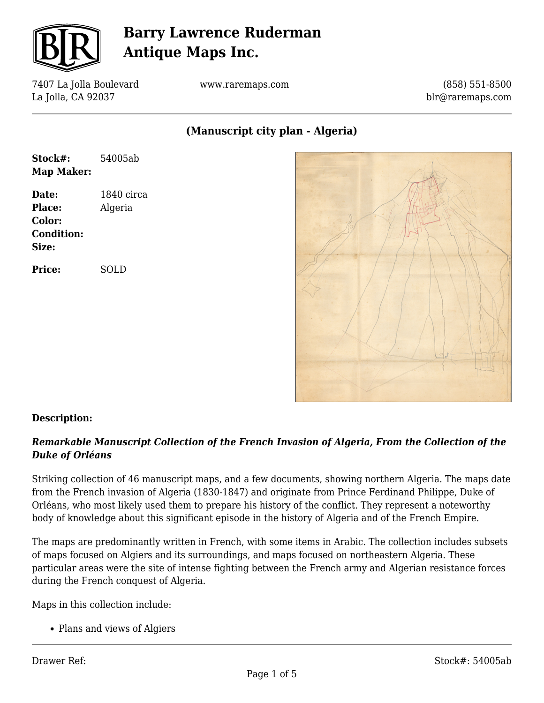

7407 La Jolla Boulevard La Jolla, CA 92037

www.raremaps.com

(858) 551-8500 blr@raremaps.com

**(Manuscript city plan - Algeria)**

| Stock#:           | 54005ab    |
|-------------------|------------|
| <b>Map Maker:</b> |            |
| Date:             | 1840 circa |
| Place:            | Algeria    |
| Color:            |            |
| <b>Condition:</b> |            |
| Size:             |            |
| <b>Price:</b>     | SOLD       |
|                   |            |
|                   |            |
|                   |            |



### **Description:**

### *Remarkable Manuscript Collection of the French Invasion of Algeria, From the Collection of the Duke of Orléans*

Striking collection of 46 manuscript maps, and a few documents, showing northern Algeria. The maps date from the French invasion of Algeria (1830-1847) and originate from Prince Ferdinand Philippe, Duke of Orléans, who most likely used them to prepare his history of the conflict. They represent a noteworthy body of knowledge about this significant episode in the history of Algeria and of the French Empire.

The maps are predominantly written in French, with some items in Arabic. The collection includes subsets of maps focused on Algiers and its surroundings, and maps focused on northeastern Algeria. These particular areas were the site of intense fighting between the French army and Algerian resistance forces during the French conquest of Algeria.

Maps in this collection include:

• Plans and views of Algiers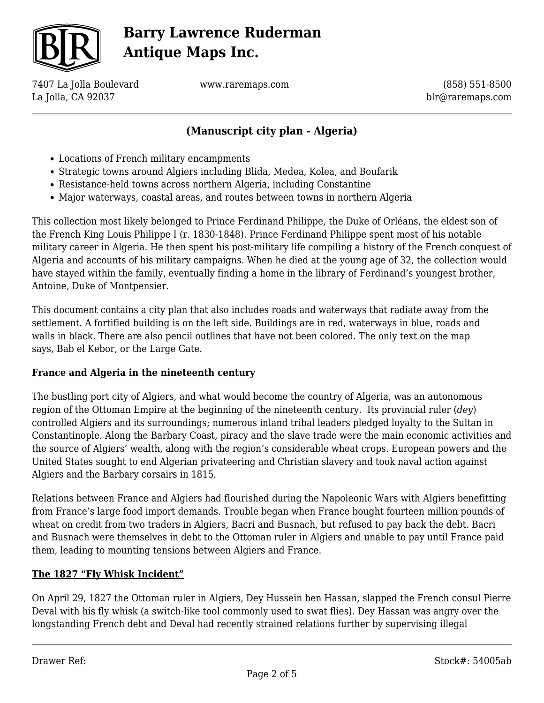

7407 La Jolla Boulevard La Jolla, CA 92037

www.raremaps.com

(858) 551-8500 blr@raremaps.com

## **(Manuscript city plan - Algeria)**

- Locations of French military encampments
- Strategic towns around Algiers including Blida, Medea, Kolea, and Boufarik
- Resistance-held towns across northern Algeria, including Constantine
- Major waterways, coastal areas, and routes between towns in northern Algeria

This collection most likely belonged to Prince Ferdinand Philippe, the Duke of Orléans, the eldest son of the French King Louis Philippe I (r. 1830-1848). Prince Ferdinand Philippe spent most of his notable military career in Algeria. He then spent his post-military life compiling a history of the French conquest of Algeria and accounts of his military campaigns. When he died at the young age of 32, the collection would have stayed within the family, eventually finding a home in the library of Ferdinand's youngest brother, Antoine, Duke of Montpensier.

This document contains a city plan that also includes roads and waterways that radiate away from the settlement. A fortified building is on the left side. Buildings are in red, waterways in blue, roads and walls in black. There are also pencil outlines that have not been colored. The only text on the map says, Bab el Kebor, or the Large Gate.

### **France and Algeria in the nineteenth century**

The bustling port city of Algiers, and what would become the country of Algeria, was an autonomous region of the Ottoman Empire at the beginning of the nineteenth century. Its provincial ruler (*dey*) controlled Algiers and its surroundings; numerous inland tribal leaders pledged loyalty to the Sultan in Constantinople. Along the Barbary Coast, piracy and the slave trade were the main economic activities and the source of Algiers' wealth, along with the region's considerable wheat crops. European powers and the United States sought to end Algerian privateering and Christian slavery and took naval action against Algiers and the Barbary corsairs in 1815.

Relations between France and Algiers had flourished during the Napoleonic Wars with Algiers benefitting from France's large food import demands. Trouble began when France bought fourteen million pounds of wheat on credit from two traders in Algiers, Bacri and Busnach, but refused to pay back the debt. Bacri and Busnach were themselves in debt to the Ottoman ruler in Algiers and unable to pay until France paid them, leading to mounting tensions between Algiers and France.

### **The 1827 "Fly Whisk Incident"**

On April 29, 1827 the Ottoman ruler in Algiers, Dey Hussein ben Hassan, slapped the French consul Pierre Deval with his fly whisk (a switch-like tool commonly used to swat flies). Dey Hassan was angry over the longstanding French debt and Deval had recently strained relations further by supervising illegal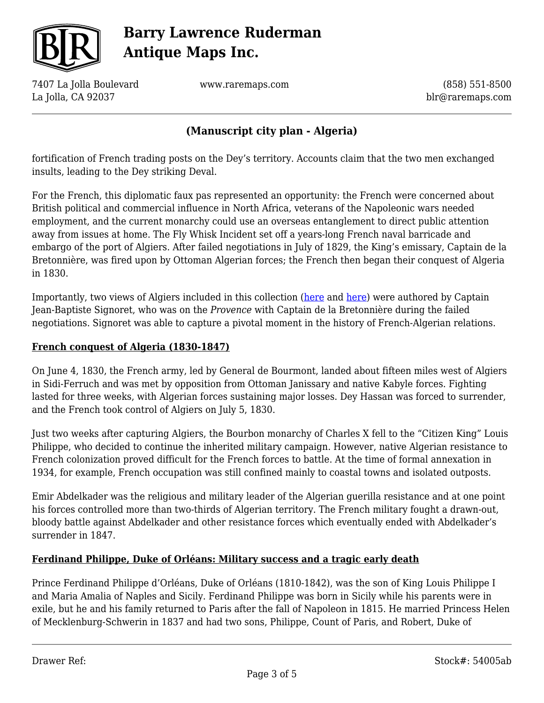

7407 La Jolla Boulevard La Jolla, CA 92037

www.raremaps.com

(858) 551-8500 blr@raremaps.com

### **(Manuscript city plan - Algeria)**

fortification of French trading posts on the Dey's territory. Accounts claim that the two men exchanged insults, leading to the Dey striking Deval.

For the French, this diplomatic faux pas represented an opportunity: the French were concerned about British political and commercial influence in North Africa, veterans of the Napoleonic wars needed employment, and the current monarchy could use an overseas entanglement to direct public attention away from issues at home. The Fly Whisk Incident set off a years-long French naval barricade and embargo of the port of Algiers. After failed negotiations in July of 1829, the King's emissary, Captain de la Bretonnière, was fired upon by Ottoman Algerian forces; the French then began their conquest of Algeria in 1830.

Importantly, two views of Algiers included in this collection [\(here](https://raremaps.com/gallery/detail/53490ab) and [here\)](https://raremaps.com/gallery/detail/53489ab) were authored by Captain Jean-Baptiste Signoret, who was on the *Provence* with Captain de la Bretonnière during the failed negotiations. Signoret was able to capture a pivotal moment in the history of French-Algerian relations.

#### **French conquest of Algeria (1830-1847)**

On June 4, 1830, the French army, led by General de Bourmont, landed about fifteen miles west of Algiers in Sidi-Ferruch and was met by opposition from Ottoman Janissary and native Kabyle forces. Fighting lasted for three weeks, with Algerian forces sustaining major losses. Dey Hassan was forced to surrender, and the French took control of Algiers on July 5, 1830.

Just two weeks after capturing Algiers, the Bourbon monarchy of Charles X fell to the "Citizen King" Louis Philippe, who decided to continue the inherited military campaign. However, native Algerian resistance to French colonization proved difficult for the French forces to battle. At the time of formal annexation in 1934, for example, French occupation was still confined mainly to coastal towns and isolated outposts.

Emir Abdelkader was the religious and military leader of the Algerian guerilla resistance and at one point his forces controlled more than two-thirds of Algerian territory. The French military fought a drawn-out, bloody battle against Abdelkader and other resistance forces which eventually ended with Abdelkader's surrender in 1847.

#### **Ferdinand Philippe, Duke of Orléans: Military success and a tragic early death**

Prince Ferdinand Philippe d'Orléans, Duke of Orléans (1810-1842), was the son of King Louis Philippe I and Maria Amalia of Naples and Sicily. Ferdinand Philippe was born in Sicily while his parents were in exile, but he and his family returned to Paris after the fall of Napoleon in 1815. He married Princess Helen of Mecklenburg-Schwerin in 1837 and had two sons, Philippe, Count of Paris, and Robert, Duke of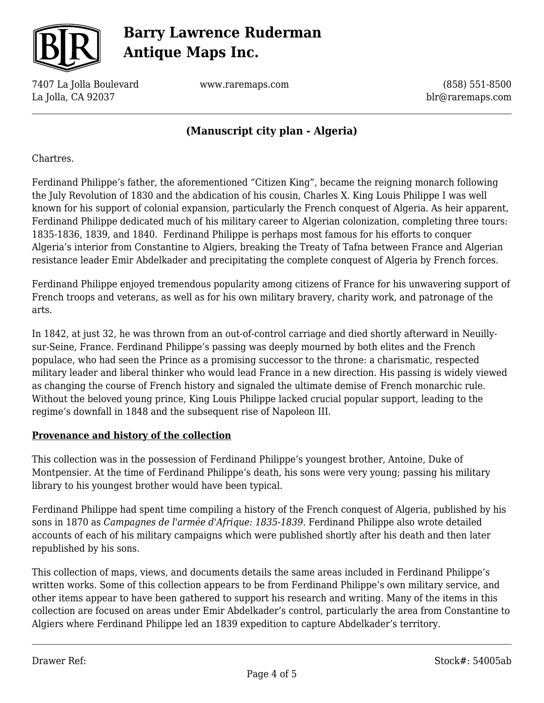

7407 La Jolla Boulevard La Jolla, CA 92037

www.raremaps.com

(858) 551-8500 blr@raremaps.com

### **(Manuscript city plan - Algeria)**

Chartres.

Ferdinand Philippe's father, the aforementioned "Citizen King", became the reigning monarch following the July Revolution of 1830 and the abdication of his cousin, Charles X. King Louis Philippe I was well known for his support of colonial expansion, particularly the French conquest of Algeria. As heir apparent, Ferdinand Philippe dedicated much of his military career to Algerian colonization, completing three tours: 1835-1836, 1839, and 1840. Ferdinand Philippe is perhaps most famous for his efforts to conquer Algeria's interior from Constantine to Algiers, breaking the Treaty of Tafna between France and Algerian resistance leader Emir Abdelkader and precipitating the complete conquest of Algeria by French forces.

Ferdinand Philippe enjoyed tremendous popularity among citizens of France for his unwavering support of French troops and veterans, as well as for his own military bravery, charity work, and patronage of the arts.

In 1842, at just 32, he was thrown from an out-of-control carriage and died shortly afterward in Neuillysur-Seine, France. Ferdinand Philippe's passing was deeply mourned by both elites and the French populace, who had seen the Prince as a promising successor to the throne: a charismatic, respected military leader and liberal thinker who would lead France in a new direction. His passing is widely viewed as changing the course of French history and signaled the ultimate demise of French monarchic rule. Without the beloved young prince, King Louis Philippe lacked crucial popular support, leading to the regime's downfall in 1848 and the subsequent rise of Napoleon III.

### **Provenance and history of the collection**

This collection was in the possession of Ferdinand Philippe's youngest brother, Antoine, Duke of Montpensier. At the time of Ferdinand Philippe's death, his sons were very young; passing his military library to his youngest brother would have been typical.

Ferdinand Philippe had spent time compiling a history of the French conquest of Algeria, published by his sons in 1870 as *Campagnes de l'armée d'Afrique: 1835-1839*. Ferdinand Philippe also wrote detailed accounts of each of his military campaigns which were published shortly after his death and then later republished by his sons.

This collection of maps, views, and documents details the same areas included in Ferdinand Philippe's written works. Some of this collection appears to be from Ferdinand Philippe's own military service, and other items appear to have been gathered to support his research and writing. Many of the items in this collection are focused on areas under Emir Abdelkader's control, particularly the area from Constantine to Algiers where Ferdinand Philippe led an 1839 expedition to capture Abdelkader's territory.